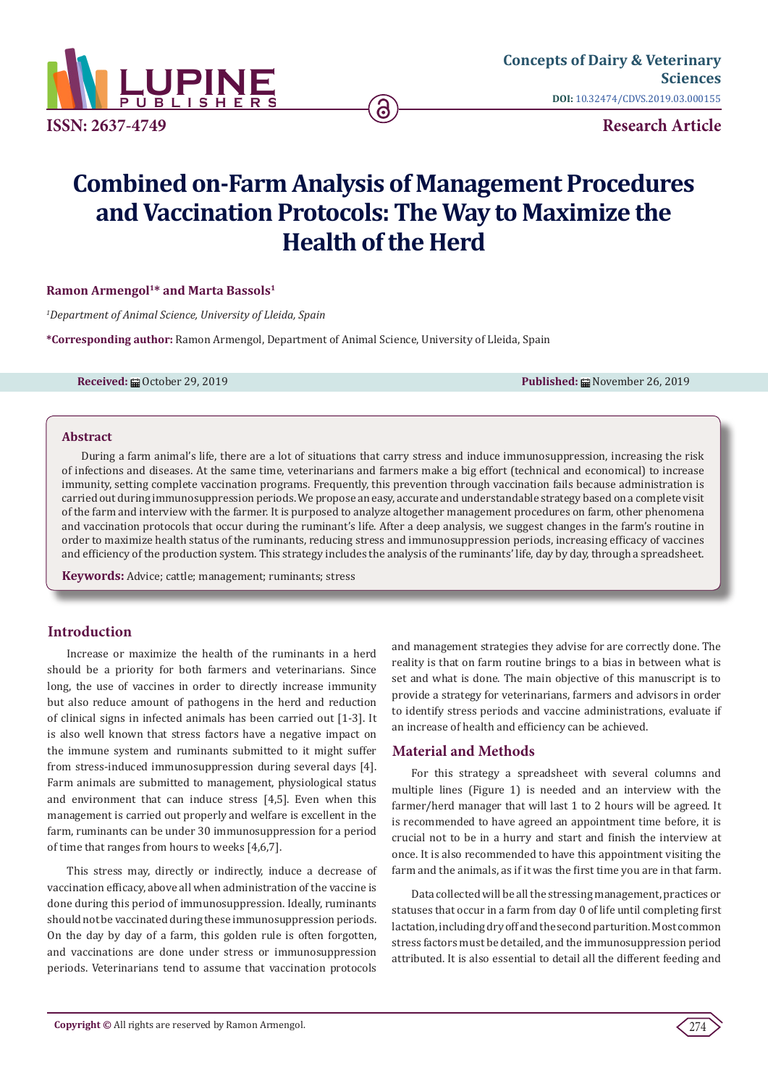

# **Combined on-Farm Analysis of Management Procedures and Vaccination Protocols: The Way to Maximize the Health of the Herd**

## **Ramon Armengol<sup>1\*</sup> and Marta Bassols<sup>1</sup>**

*1 Department of Animal Science, University of Lleida, Spain*

**\*Corresponding author:** Ramon Armengol, Department of Animal Science, University of Lleida, Spain

**Received:** 的 October 29, 2019 **Published:** 的 October 26, 2019 **Published:** 的 October 26, 2019

#### **Abstract**

During a farm animal's life, there are a lot of situations that carry stress and induce immunosuppression, increasing the risk of infections and diseases. At the same time, veterinarians and farmers make a big effort (technical and economical) to increase immunity, setting complete vaccination programs. Frequently, this prevention through vaccination fails because administration is carried out during immunosuppression periods. We propose an easy, accurate and understandable strategy based on a complete visit of the farm and interview with the farmer. It is purposed to analyze altogether management procedures on farm, other phenomena and vaccination protocols that occur during the ruminant's life. After a deep analysis, we suggest changes in the farm's routine in order to maximize health status of the ruminants, reducing stress and immunosuppression periods, increasing efficacy of vaccines and efficiency of the production system. This strategy includes the analysis of the ruminants' life, day by day, through a spreadsheet.

**Keywords:** Advice; cattle; management; ruminants; stress

## **Introduction**

Increase or maximize the health of the ruminants in a herd should be a priority for both farmers and veterinarians. Since long, the use of vaccines in order to directly increase immunity but also reduce amount of pathogens in the herd and reduction of clinical signs in infected animals has been carried out [1-3]. It is also well known that stress factors have a negative impact on the immune system and ruminants submitted to it might suffer from stress-induced immunosuppression during several days [4]. Farm animals are submitted to management, physiological status and environment that can induce stress [4,5]. Even when this management is carried out properly and welfare is excellent in the farm, ruminants can be under 30 immunosuppression for a period of time that ranges from hours to weeks [4,6,7].

This stress may, directly or indirectly, induce a decrease of vaccination efficacy, above all when administration of the vaccine is done during this period of immunosuppression. Ideally, ruminants should not be vaccinated during these immunosuppression periods. On the day by day of a farm, this golden rule is often forgotten, and vaccinations are done under stress or immunosuppression periods. Veterinarians tend to assume that vaccination protocols

and management strategies they advise for are correctly done. The reality is that on farm routine brings to a bias in between what is set and what is done. The main objective of this manuscript is to provide a strategy for veterinarians, farmers and advisors in order to identify stress periods and vaccine administrations, evaluate if an increase of health and efficiency can be achieved.

## **Material and Methods**

For this strategy a spreadsheet with several columns and multiple lines (Figure 1) is needed and an interview with the farmer/herd manager that will last 1 to 2 hours will be agreed. It is recommended to have agreed an appointment time before, it is crucial not to be in a hurry and start and finish the interview at once. It is also recommended to have this appointment visiting the farm and the animals, as if it was the first time you are in that farm.

Data collected will be all the stressing management, practices or statuses that occur in a farm from day 0 of life until completing first lactation, including dry off and the second parturition. Most common stress factors must be detailed, and the immunosuppression period attributed. It is also essential to detail all the different feeding and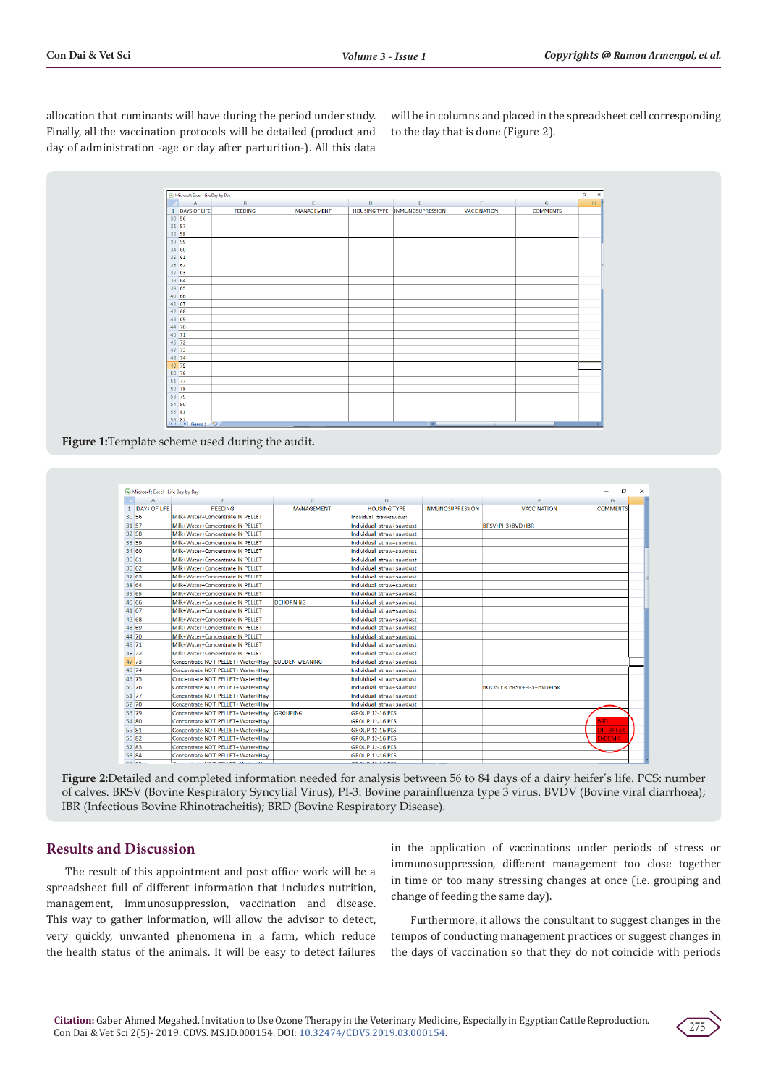allocation that ruminants will have during the period under study. Finally, all the vaccination protocols will be detailed (product and day of administration -age or day after parturition-). All this data

will be in columns and placed in the spreadsheet cell corresponding to the day that is done (Figure 2).

| 30 56<br>31 57<br>32 58<br>33 59<br>34 60<br>35 61<br>36 62 | <b>A</b><br>1 DAYS OF LIFE | $\mathsf{B}$<br><b>FEEDING</b> | $\mathbf{c}$<br><b>MANAGEMENT</b> | D<br><b>HOUSING TYPE</b> | E<br><b>INMUNOSUPRESSION</b> | F<br><b>VACCINATION</b> | G<br><b>COMMENTS</b> | H |
|-------------------------------------------------------------|----------------------------|--------------------------------|-----------------------------------|--------------------------|------------------------------|-------------------------|----------------------|---|
|                                                             |                            |                                |                                   |                          |                              |                         |                      |   |
|                                                             |                            |                                |                                   |                          |                              |                         |                      |   |
|                                                             |                            |                                |                                   |                          |                              |                         |                      |   |
|                                                             |                            |                                |                                   |                          |                              |                         |                      |   |
|                                                             |                            |                                |                                   |                          |                              |                         |                      |   |
|                                                             |                            |                                |                                   |                          |                              |                         |                      |   |
|                                                             |                            |                                |                                   |                          |                              |                         |                      |   |
|                                                             |                            |                                |                                   |                          |                              |                         |                      |   |
|                                                             |                            |                                |                                   |                          |                              |                         |                      |   |
|                                                             | 37 63                      |                                |                                   |                          |                              |                         |                      |   |
| 38 64                                                       |                            |                                |                                   |                          |                              |                         |                      |   |
| 39 65                                                       |                            |                                |                                   |                          |                              |                         |                      |   |
| 40 66                                                       |                            |                                |                                   |                          |                              |                         |                      |   |
| 41 67                                                       |                            |                                |                                   |                          |                              |                         |                      |   |
| 42 68                                                       |                            |                                |                                   |                          |                              |                         |                      |   |
| 43 69                                                       |                            |                                |                                   |                          |                              |                         |                      |   |
| 44 70                                                       |                            |                                |                                   |                          |                              |                         |                      |   |
| 45 71                                                       |                            |                                |                                   |                          |                              |                         |                      |   |
| 46 72                                                       |                            |                                |                                   |                          |                              |                         |                      |   |
| 47 73                                                       |                            |                                |                                   |                          |                              |                         |                      |   |
| 48 74                                                       |                            |                                |                                   |                          |                              |                         |                      |   |
| 49 75                                                       |                            |                                |                                   |                          |                              |                         |                      |   |
| 50 76                                                       |                            |                                |                                   |                          |                              |                         |                      |   |
| $51 \ 77$                                                   |                            |                                |                                   |                          |                              |                         |                      |   |
| 52 78                                                       |                            |                                |                                   |                          |                              |                         |                      |   |
| 53 79                                                       |                            |                                |                                   |                          |                              |                         |                      |   |
| 54 80                                                       |                            |                                |                                   |                          |                              |                         |                      |   |
| 55 81                                                       |                            |                                |                                   |                          |                              |                         |                      |   |
|                                                             | 56 82<br>R + P H Figure 1  |                                |                                   |                          | 14.5                         | $-11-$                  |                      |   |

**Figure 1:**Template scheme used during the audit**.**

| A                   | B.                                | c                     | D                         |                         |                           | G               |
|---------------------|-----------------------------------|-----------------------|---------------------------|-------------------------|---------------------------|-----------------|
| <b>DAYS OF LIFE</b> | <b>FEEDING</b>                    | MANAGEMENT            | <b>HOUSING TYPE</b>       | <b>INMUNOSUPRESSION</b> | <b>VACCINATION</b>        | <b>COMMENTS</b> |
| 30 56               | Milk+Water+Concentrate IN PELLET  |                       | Individual, straw+sawdust |                         |                           |                 |
| 31 57               | Milk+Water+Concentrate IN PELLET  |                       | Individual, straw+sawdust |                         | BRSV+PI-3+BVD+IBR         |                 |
| $32$ $58$           | Milk+Water+Concentrate IN PELLET  |                       | Individual, straw+sawdust |                         |                           |                 |
| 33 59               | Milk+Water+Concentrate IN PELLET  |                       | Individual, straw+sawdust |                         |                           |                 |
| 34 60               | Milk+Water+Concentrate IN PELLET  |                       | Individual, straw+sawdust |                         |                           |                 |
| 3561                | Milk+Water+Concentrate IN PELLET  |                       | Individual, straw+sawdust |                         |                           |                 |
| 36 62               | Milk+Water+Concentrate IN PELLET  |                       | Individual, straw+sawdust |                         |                           |                 |
| 37 63               | Milk+Water+Concentrate IN PELLET  |                       | Individual, straw+sawdust |                         |                           |                 |
| 38 64               | Milk+Water+Concentrate IN PELLET  |                       | Individual, straw+sawdust |                         |                           |                 |
| 39 65               | Milk+Water+Concentrate IN PELLET  |                       | Individual, straw+sawdust |                         |                           |                 |
| 40 66               | Milk+Water+Concentrate IN PELLET  | <b>DEHORNING</b>      | Individual, straw+sawdust |                         |                           |                 |
| 41 67               | Milk+Water+Concentrate IN PELLET  |                       | Individual, straw+sawdust |                         |                           |                 |
| 42 68               | Milk+Water+Concentrate IN PELLET  |                       | Individual, straw+sawdust |                         |                           |                 |
| 43 69               | Milk+Water+Concentrate IN PELLET  |                       | Individual, straw+sawdust |                         |                           |                 |
| 44 70               | Milk+Water+Concentrate IN PELLET  |                       | Individual, straw+sawdust |                         |                           |                 |
| 45 71               | Milk+Water+Concentrate IN PELLET  |                       | Individual, straw+sawdust |                         |                           |                 |
| 46 72               | Milk+Water+Concentrate IN PELLET  |                       | Individual, straw+sawdust |                         |                           |                 |
| 47 73               | Concentrate NOT PELLET+ Water+Hav | <b>SUDDEN WEANING</b> | Individual, straw+sawdust |                         |                           |                 |
| 48 74               | Concentrate NOT PELLET+ Water+Hav |                       | Individual, straw+sawdust |                         |                           |                 |
| 49 75               | Concentrate NOT PELLET+ Water+Hav |                       | Individual, straw+sawdust |                         |                           |                 |
| 50 76               | Concentrate NOT PELLET+ Water+Hay |                       | Individual, straw+sawdust |                         | BOOSTER BRSV+PI-3+BVD+IBR |                 |
| 51 77               | Concentrate NOT PELLET+ Water+Hay |                       | Individual, straw+sawdust |                         |                           |                 |
| 52 78               | Concentrate NOT PELLET+ Water+Hav |                       | Individual, straw+sawdust |                         |                           |                 |
| 53 79               | Concentrate NOT PELLET+ Water+Hay | <b>GROUPING</b>       | <b>GROUP 12-16 PCS</b>    |                         |                           |                 |
| 54 80               | Concentrate NOT PELLET+ Water+Hay |                       | GROUP 12-16 PCS           |                         |                           | <b>RD</b>       |
| 55 81               | Concentrate NOT PELLET+ Water+Hav |                       | <b>GROUP 12-16 PCS</b>    |                         |                           | <b>JUTBREAK</b> |
| 56 82               | Concentrate NOT PELLET+ Water+Hav |                       | <b>GROUP 12-16 PCS</b>    |                         |                           | <b>INDEMIC</b>  |
| 57 83               | Concentrate NOT PELLET+ Water+Hav |                       | <b>GROUP 12-16 PCS</b>    |                         |                           |                 |
| 58 84               | Concentrate NOT PELLET+ Water+Hay |                       | <b>GROUP 12-16 PCS</b>    |                         |                           |                 |
|                     |                                   |                       |                           |                         |                           |                 |

**Figure 2:**Detailed and completed information needed for analysis between 56 to 84 days of a dairy heifer's life. PCS: number of calves. BRSV (Bovine Respiratory Syncytial Virus), PI-3: Bovine parainfluenza type 3 virus. BVDV (Bovine viral diarrhoea); IBR (Infectious Bovine Rhinotracheitis); BRD (Bovine Respiratory Disease).

## **Results and Discussion**

The result of this appointment and post office work will be a spreadsheet full of different information that includes nutrition, management, immunosuppression, vaccination and disease. This way to gather information, will allow the advisor to detect, very quickly, unwanted phenomena in a farm, which reduce the health status of the animals. It will be easy to detect failures

in the application of vaccinations under periods of stress or immunosuppression, different management too close together in time or too many stressing changes at once (i.e. grouping and change of feeding the same day).

Furthermore, it allows the consultant to suggest changes in the tempos of conducting management practices or suggest changes in the days of vaccination so that they do not coincide with periods

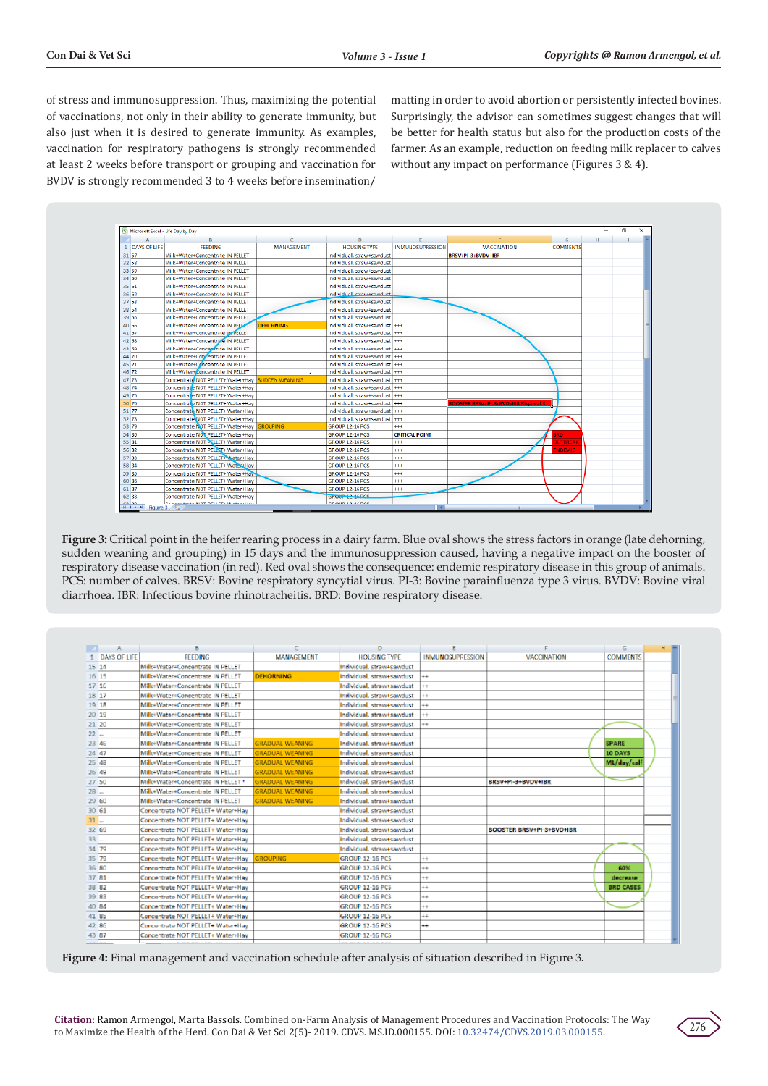of stress and immunosuppression. Thus, maximizing the potential of vaccinations, not only in their ability to generate immunity, but also just when it is desired to generate immunity. As examples, vaccination for respiratory pathogens is strongly recommended at least 2 weeks before transport or grouping and vaccination for BVDV is strongly recommended 3 to 4 weeks before insemination/

matting in order to avoid abortion or persistently infected bovines. Surprisingly, the advisor can sometimes suggest changes that will be better for health status but also for the production costs of the farmer. As an example, reduction on feeding milk replacer to calves without any impact on performance (Figures 3 & 4).



**Figure 3:** Critical point in the heifer rearing process in a dairy farm. Blue oval shows the stress factors in orange (late dehorning, sudden weaning and grouping) in 15 days and the immunosuppression caused, having a negative impact on the booster of respiratory disease vaccination (in red). Red oval shows the consequence: endemic respiratory disease in this group of animals. PCS: number of calves. BRSV: Bovine respiratory syncytial virus. PI-3: Bovine parainfluenza type 3 virus. BVDV: Bovine viral diarrhoea. IBR: Infectious bovine rhinotracheitis. BRD: Bovine respiratory disease.

|        | $\mathsf{A}$        | в                                  | c                      | D                         |                         |                                  | G                |  |
|--------|---------------------|------------------------------------|------------------------|---------------------------|-------------------------|----------------------------------|------------------|--|
|        | <b>DAYS OF LIFE</b> | <b>FEEDING</b>                     | <b>MANAGEMENT</b>      | <b>HOUSING TYPE</b>       | <b>INMUNOSUPRESSION</b> | VACCINATION                      | <b>COMMENTS</b>  |  |
| 15 14  |                     | Milk+Water+Concentrate IN PELLET   |                        | Individual, straw+sawdust |                         |                                  |                  |  |
| 16 15  |                     | Milk+Water+Concentrate IN PELLET   | <b>DEHORNING</b>       | Individual, straw+sawdust | $++$                    |                                  |                  |  |
| 17 16  |                     | Milk+Water+Concentrate IN PELLET   |                        | Individual, straw+sawdust | $^{++}$                 |                                  |                  |  |
| 18 17  |                     | Milk+Water+Concentrate IN PELLET   |                        | Individual, straw+sawdust | $++$                    |                                  |                  |  |
| 19 18  |                     | Milk+Water+Concentrate IN PELLET   |                        | Individual, straw+sawdust | $+$                     |                                  |                  |  |
| 20 19  |                     | Milk+Water+Concentrate IN PELLET   |                        | Individual, straw+sawdust | $^{+}$                  |                                  |                  |  |
| 21 20  |                     | Milk+Water+Concentrate IN PELLET   |                        | Individual, straw+sawdust | $++$                    |                                  |                  |  |
| $22$   |                     | Milk+Water+Concentrate IN PELLET   |                        | Individual, straw+sawdust |                         |                                  |                  |  |
| 23 46  |                     | Milk+Water+Concentrate IN PELLET   | <b>GRADUAL WEANING</b> | Individual, straw+sawdust |                         |                                  | <b>SPARE</b>     |  |
| 24 47  |                     | Milk+Water+Concentrate IN PELLET   | <b>GRADUAL WEANING</b> | Individual, straw+sawdust |                         |                                  | 10 DAYS          |  |
| 25 48  |                     | Milk+Water+Concentrate IN PELLET   | <b>GRADUAL WEANING</b> | Individual, straw+sawdust |                         |                                  | ML/day/calf      |  |
| 26 49  |                     | Milk+Water+Concentrate IN PELLET   | <b>GRADUAL WEANING</b> | Individual, straw+sawdust |                         |                                  |                  |  |
| 27 50  |                     | Milk+Water+Concentrate IN PELLET * | <b>GRADUAL WEANING</b> | Individual, straw+sawdust |                         | BRSV+PI-3+BVDV+IBR               |                  |  |
| $28 -$ |                     | Milk+Water+Concentrate IN PELLET   | <b>GRADUAL WEANING</b> | Individual, straw+sawdust |                         |                                  |                  |  |
| 29 60  |                     | Milk+Water+Concentrate IN PELLET   | <b>GRADUAL WEANING</b> | Individual, straw+sawdust |                         |                                  |                  |  |
| 3061   |                     | Concentrate NOT PELLET+ Water+Hav  |                        | Individual, straw+sawdust |                         |                                  |                  |  |
| $31$   |                     | Concentrate NOT PELLET+ Water+Hav  |                        | Individual, straw+sawdust |                         |                                  |                  |  |
| 32 69  |                     | Concentrate NOT PELLET+ Water+Hav  |                        | Individual, straw+sawdust |                         | <b>BOOSTER BRSV+PI-3+BVD+IBR</b> |                  |  |
| $33 -$ |                     | Concentrate NOT PELLET+ Water+Hay  |                        | Individual, straw+sawdust |                         |                                  |                  |  |
| 34 79  |                     | Concentrate NOT PELLET+ Water+Hav  |                        | Individual, straw+sawdust |                         |                                  |                  |  |
| 35 79  |                     | Concentrate NOT PELLET+ Water+Hav  | <b>GROUPING</b>        | GROUP 12-16 PCS           | $^{\mathrm{+}}$         |                                  |                  |  |
| 36 80  |                     | Concentrate NOT PELLET+ Water+Hav  |                        | <b>GROUP 12-16 PCS</b>    | $+$                     |                                  | 60%              |  |
| 37 81  |                     | Concentrate NOT PELLET+ Water+Hav  |                        | <b>GROUP 12-16 PCS</b>    | $++$                    |                                  | decrease         |  |
| 38 82  |                     | Concentrate NOT PELLET+ Water+Hav  |                        | <b>GROUP 12-16 PCS</b>    | $++$                    |                                  | <b>BRD CASES</b> |  |
| 39 83  |                     | Concentrate NOT PELLET+ Water+Hav  |                        | <b>GROUP 12-16 PCS</b>    | $^{\rm +}$              |                                  |                  |  |
| 40 84  |                     | Concentrate NOT PELLET+ Water+Hav  |                        | <b>GROUP 12-16 PCS</b>    | $++$                    |                                  |                  |  |
| 41 85  |                     | Concentrate NOT PELLET+ Water+Hav  |                        | <b>GROUP 12-16 PCS</b>    | $++$                    |                                  |                  |  |
| 42 86  |                     | Concentrate NOT PELLET+ Water+Hav  |                        | <b>GROUP 12-16 PCS</b>    | ÷÷                      |                                  |                  |  |
| 43 87  |                     | Concentrate NOT PELLET+ Water+Hay  |                        | <b>GROUP 12-16 PCS</b>    |                         |                                  |                  |  |
|        |                     |                                    |                        |                           |                         |                                  |                  |  |

**Figure 4:** Final management and vaccination schedule after analysis of situation described in Figure 3.